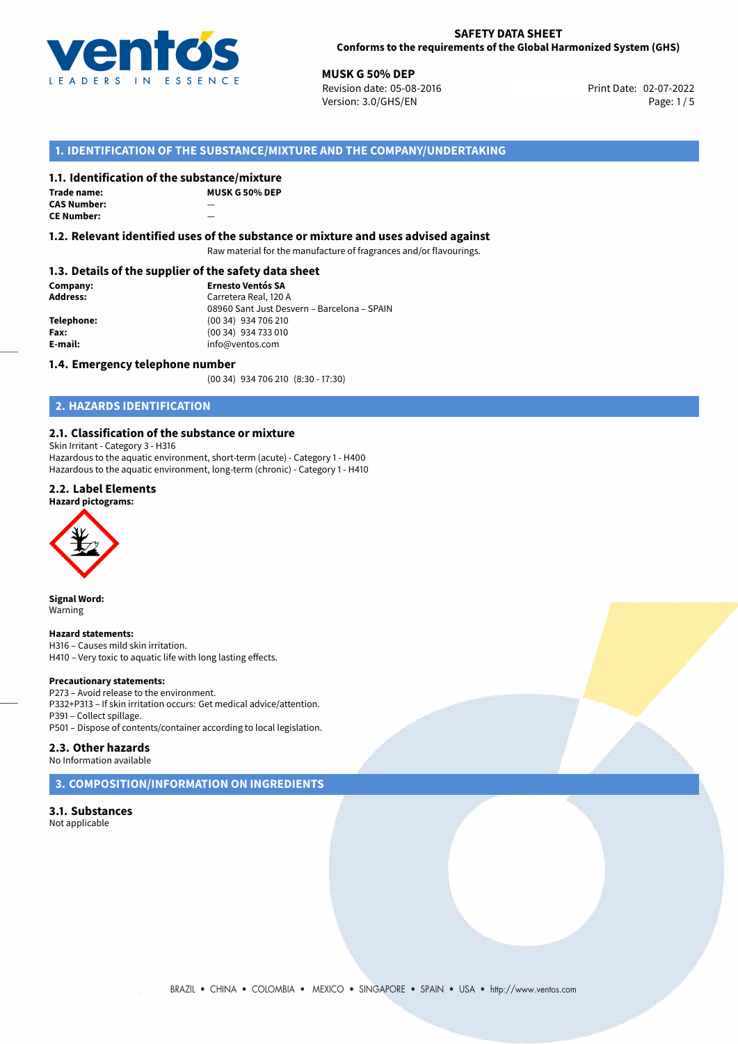

## **SAFETY DATA SHEET Conforms to the requirements of the Global Harmonized System (GHS)**

**MUSK G 50% DEP**<br>Revision date: 05-08-2016 **Print Date: 02-07-2022** Version: 3.0/GHS/EN Page: 1/5

# **1. IDENTIFICATION OF THE SUBSTANCE/MIXTURE AND THE COMPANY/UNDERTAKING**

# **1.1. Identification of the substance/mixture**

**Trade name: CAS Number:** — **CE Number:** 

**MUSK G 50% DEP**

**1.2. Relevant identified uses of the substance or mixture and uses advised against**

Raw material for the manufacture of fragrances and/or flavourings.

# **1.3. Details of the supplier of the safety data sheet**

**Company: Ernesto Ventós SA Address:** Carretera Real, 120 A 08960 Sant Just Desvern – Barcelona – SPAIN **Telephone:** (00 34) 934 706 210 **Fax:** (00 34) 934 733 010<br> **E-mail: E-mail:** info@ventos.com **E-mail:** info@ventos.com

### **1.4. Emergency telephone number**

(00 34) 934 706 210 (8:30 - 17:30)

# **2. HAZARDS IDENTIFICATION**

# **2.1. Classification of the substance or mixture**

Skin Irritant - Category 3 - H316

Hazardous to the aquatic environment, short-term (acute) - Category 1 - H400 Hazardous to the aquatic environment, long-term (chronic) - Category 1 - H410

## **2.2. Label Elements**

### **Hazard pictograms:**



**Signal Word:** Warning

#### **Hazard statements:**

H316 – Causes mild skin irritation. H410 – Very toxic to aquatic life with long lasting effects.

#### **Precautionary statements:**

P273 – Avoid release to the environment. P332+P313 – If skin irritation occurs: Get medical advice/attention. P391 – Collect spillage. P501 – Dispose of contents/container according to local legislation.

# **2.3. Other hazards**

No Information available

**3. COMPOSITION/INFORMATION ON INGREDIENTS**

**3.1. Substances** Not applicable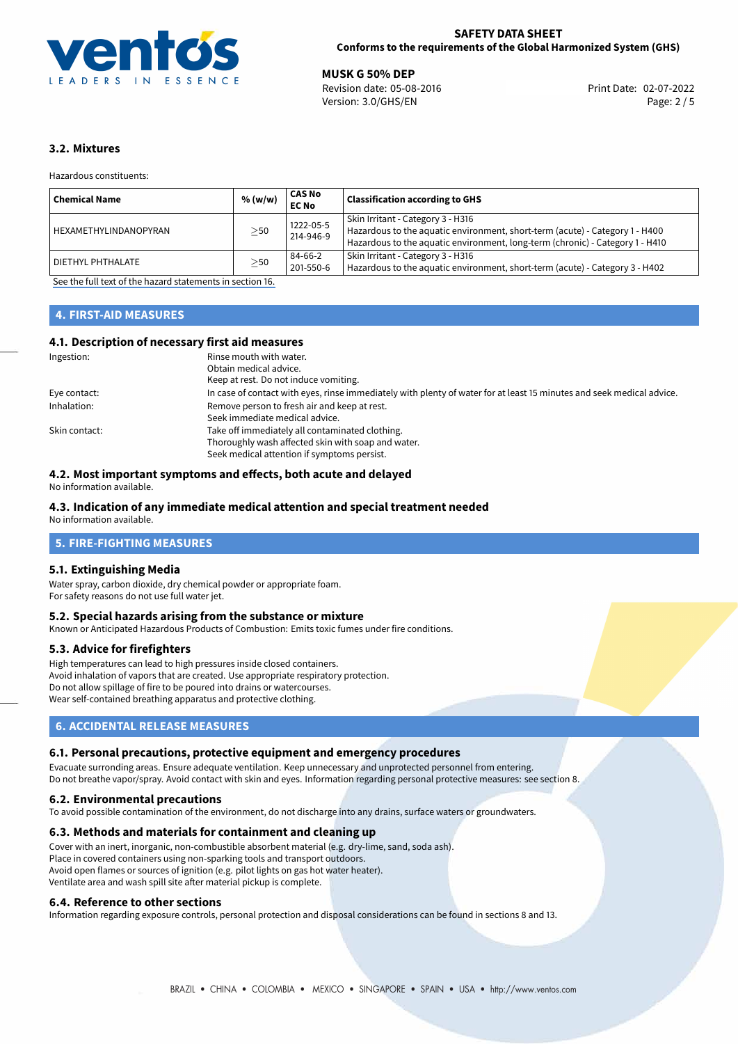

02-07-2022 **MUSK G 50% DEP** Revision date: 05-08-2016 Print Date: Version: 3.0/GHS/EN Page: 2 / 5

# **3.2. Mixtures**

Hazardous constituents:

| ' Chemical Name              | % (w/w)   | <b>CAS No</b><br><b>EC No</b> | <b>Classification according to GHS</b>                                                                                                                                                             |
|------------------------------|-----------|-------------------------------|----------------------------------------------------------------------------------------------------------------------------------------------------------------------------------------------------|
| <b>HEXAMETHYLINDANOPYRAN</b> | $\geq$ 50 | 1222-05-5<br>214-946-9        | Skin Irritant - Category 3 - H316<br>Hazardous to the aquatic environment, short-term (acute) - Category 1 - H400<br>Hazardous to the aquatic environment, long-term (chronic) - Category 1 - H410 |
| DIETHYL PHTHALATE            | $\geq$ 50 | 84-66-2<br>201-550-6          | Skin Irritant - Category 3 - H316<br>Hazardous to the aquatic environment, short-term (acute) - Category 3 - H402                                                                                  |

[See the full text of the hazard statements in section 16.](#page-4-0)

# **4. FIRST-AID MEASURES**

# **4.1. Description of necessary first aid measures**

| Ingestion:    | Rinse mouth with water.                                                                                               |  |  |
|---------------|-----------------------------------------------------------------------------------------------------------------------|--|--|
|               | Obtain medical advice.                                                                                                |  |  |
|               | Keep at rest. Do not induce vomiting.                                                                                 |  |  |
| Eye contact:  | In case of contact with eyes, rinse immediately with plenty of water for at least 15 minutes and seek medical advice. |  |  |
| Inhalation:   | Remove person to fresh air and keep at rest.                                                                          |  |  |
|               | Seek immediate medical advice.                                                                                        |  |  |
| Skin contact: | Take off immediately all contaminated clothing.                                                                       |  |  |
|               | Thoroughly wash affected skin with soap and water.                                                                    |  |  |
|               | Seek medical attention if symptoms persist.                                                                           |  |  |

# **4.2. Most important symptoms and effects, both acute and delayed**

No information available.

## **4.3. Indication of any immediate medical attention and special treatment needed**

No information available.

# **5. FIRE-FIGHTING MEASURES**

## **5.1. Extinguishing Media**

Water spray, carbon dioxide, dry chemical powder or appropriate foam. For safety reasons do not use full water jet.

## **5.2. Special hazards arising from the substance or mixture**

Known or Anticipated Hazardous Products of Combustion: Emits toxic fumes under fire conditions.

#### **5.3. Advice for firefighters**

High temperatures can lead to high pressures inside closed containers. Avoid inhalation of vapors that are created. Use appropriate respiratory protection. Do not allow spillage of fire to be poured into drains or watercourses. Wear self-contained breathing apparatus and protective clothing.

# **6. ACCIDENTAL RELEASE MEASURES**

## **6.1. Personal precautions, protective equipment and emergency procedures**

Evacuate surronding areas. Ensure adequate ventilation. Keep unnecessary and unprotected personnel from entering. Do not breathe vapor/spray. Avoid contact with skin and eyes. Information regarding personal protective measures: see section 8.

#### **6.2. Environmental precautions**

To avoid possible contamination of the environment, do not discharge into any drains, surface waters or groundwaters.

# **6.3. Methods and materials for containment and cleaning up**

Cover with an inert, inorganic, non-combustible absorbent material (e.g. dry-lime, sand, soda ash). Place in covered containers using non-sparking tools and transport outdoors. Avoid open flames or sources of ignition (e.g. pilot lights on gas hot water heater). Ventilate area and wash spill site after material pickup is complete.

## **6.4. Reference to other sections**

Information regarding exposure controls, personal protection and disposal considerations can be found in sections 8 and 13.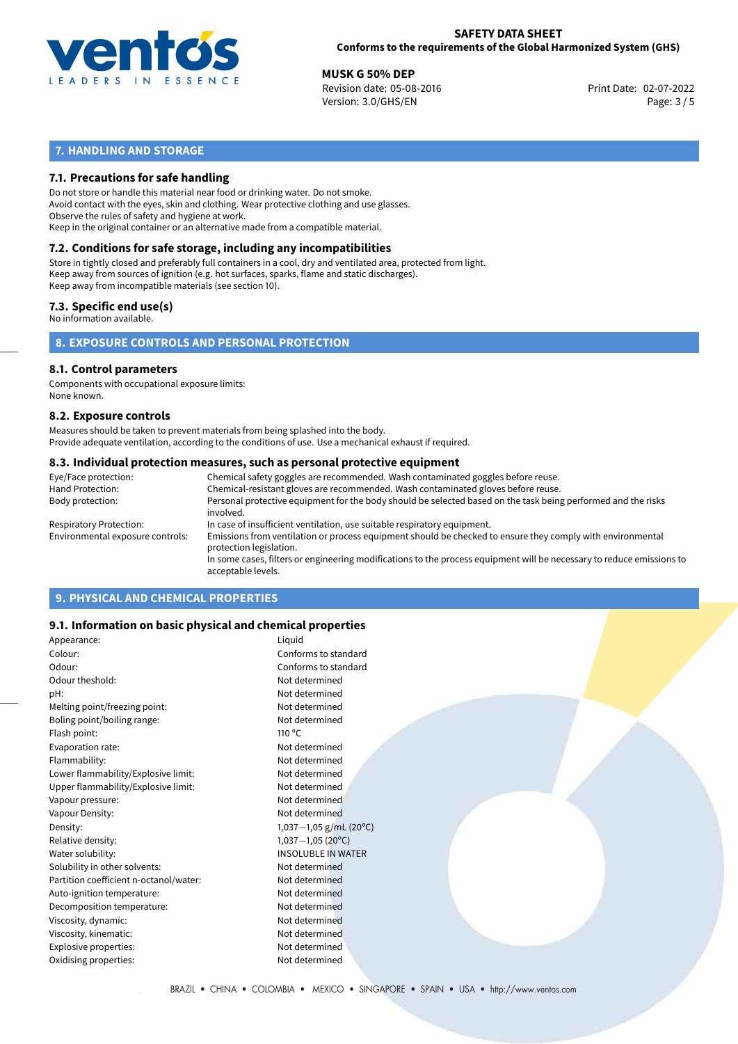

# **SAFETY DATA SHEET Conforms to the requirements of the Global Harmonized System (GHS)**

02-07-2022 **MUSK G 50% DEP** Revision date: 05-08-2016 Print Date: Version: 3.0/GHS/EN Page: 3 / 5

# **7. HANDLING AND STORAGE**

# **7.1. Precautions for safe handling**

Do not store or handle this material near food or drinking water. Do not smoke. Avoid contact with the eyes, skin and clothing. Wear protective clothing and use glasses. Observe the rules of safety and hygiene at work. Keep in the original container or an alternative made from a compatible material.

# **7.2. Conditions for safe storage, including any incompatibilities**

Store in tightly closed and preferably full containers in a cool, dry and ventilated area, protected from light. Keep away from sources of ignition (e.g. hot surfaces, sparks, flame and static discharges). Keep away from incompatible materials (see section 10).

## **7.3. Specific end use(s)**

No information available.

**8. EXPOSURE CONTROLS AND PERSONAL PROTECTION**

# **8.1. Control parameters**

Components with occupational exposure limits: None known.

#### **8.2. Exposure controls**

Measures should be taken to prevent materials from being splashed into the body. Provide adequate ventilation, according to the conditions of use. Use a mechanical exhaust if required.

### **8.3. Individual protection measures, such as personal protective equipment**

| Eye/Face protection:             | Chemical safety goggles are recommended. Wash contaminated goggles before reuse.                                                            |  |  |  |
|----------------------------------|---------------------------------------------------------------------------------------------------------------------------------------------|--|--|--|
| Hand Protection:                 | Chemical-resistant gloves are recommended. Wash contaminated gloves before reuse.                                                           |  |  |  |
| Body protection:                 | Personal protective equipment for the body should be selected based on the task being performed and the risks<br>involved.                  |  |  |  |
| Respiratory Protection:          | In case of insufficient ventilation, use suitable respiratory equipment.                                                                    |  |  |  |
| Environmental exposure controls: | Emissions from ventilation or process equipment should be checked to ensure they comply with environmental<br>protection legislation.       |  |  |  |
|                                  | In some cases, filters or engineering modifications to the process equipment will be necessary to reduce emissions to<br>acceptable levels. |  |  |  |
|                                  |                                                                                                                                             |  |  |  |

# **9. PHYSICAL AND CHEMICAL PROPERTIES**

## **9.1. Information on basic physical and chemical properties**

| Appearance:                            | Liquid                     |
|----------------------------------------|----------------------------|
| Colour:                                | Conforms to standard       |
| Odour:                                 | Conforms to standard       |
| Odour theshold:                        | Not determined             |
| pH:                                    | Not determined             |
| Melting point/freezing point:          | Not determined             |
| Boling point/boiling range:            | Not determined             |
| Flash point:                           | $110^{\circ}$ C            |
| Evaporation rate:                      | Not determined             |
| Flammability:                          | Not determined             |
| Lower flammability/Explosive limit:    | Not determined             |
| Upper flammability/Explosive limit:    | Not determined             |
| Vapour pressure:                       | Not determined             |
| Vapour Density:                        | Not determined             |
| Density:                               | 1,037 $-1$ ,05 g/mL (20°C) |
| Relative density:                      | $1,037-1,05(20°C)$         |
| Water solubility:                      | <b>INSOLUBLE IN WATER</b>  |
| Solubility in other solvents:          | Not determined             |
| Partition coefficient n-octanol/water: | Not determined             |
| Auto-ignition temperature:             | Not determined             |
| Decomposition temperature:             | Not determined             |
| Viscosity, dynamic:                    | Not determined             |
| Viscosity, kinematic:                  | Not determined             |
| Explosive properties:                  | Not determined             |
| Oxidising properties:                  | Not determined             |
|                                        |                            |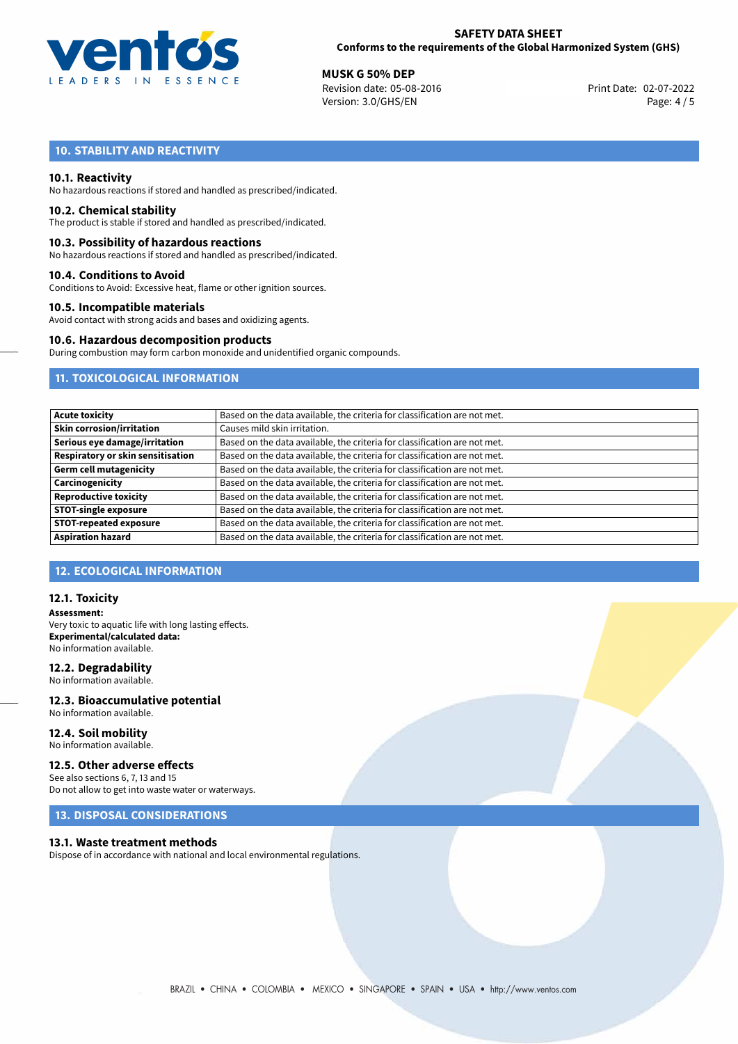

# **SAFETY DATA SHEET Conforms to the requirements of the Global Harmonized System (GHS)**

02-07-2022 **MUSK G 50% DEP** Revision date: 05-08-2016 Print Date: Version: 3.0/GHS/EN Page: 4 / 5

# **10. STABILITY AND REACTIVITY**

## **10.1. Reactivity**

No hazardous reactions if stored and handled as prescribed/indicated.

#### **10.2. Chemical stability**

The product is stable if stored and handled as prescribed/indicated.

### **10.3. Possibility of hazardous reactions**

No hazardous reactions if stored and handled as prescribed/indicated.

#### **10.4. Conditions to Avoid**

Conditions to Avoid: Excessive heat, flame or other ignition sources.

## **10.5. Incompatible materials**

Avoid contact with strong acids and bases and oxidizing agents.

#### **10.6. Hazardous decomposition products**

During combustion may form carbon monoxide and unidentified organic compounds.

# **11. TOXICOLOGICAL INFORMATION**

| <b>Acute toxicity</b>                    | Based on the data available, the criteria for classification are not met. |
|------------------------------------------|---------------------------------------------------------------------------|
| <b>Skin corrosion/irritation</b>         | Causes mild skin irritation.                                              |
| Serious eye damage/irritation            | Based on the data available, the criteria for classification are not met. |
| <b>Respiratory or skin sensitisation</b> | Based on the data available, the criteria for classification are not met. |
| <b>Germ cell mutagenicity</b>            | Based on the data available, the criteria for classification are not met. |
| Carcinogenicity                          | Based on the data available, the criteria for classification are not met. |
| <b>Reproductive toxicity</b>             | Based on the data available, the criteria for classification are not met. |
| <b>STOT-single exposure</b>              | Based on the data available, the criteria for classification are not met. |
| <b>STOT-repeated exposure</b>            | Based on the data available, the criteria for classification are not met. |
| <b>Aspiration hazard</b>                 | Based on the data available, the criteria for classification are not met. |

# **12. ECOLOGICAL INFORMATION**

## **12.1. Toxicity**

**Assessment:** Very toxic to aquatic life with long lasting effects. **Experimental/calculated data:** No information available.

## **12.2. Degradability**

No information available.

#### **12.3. Bioaccumulative potential** No information available.

**12.4. Soil mobility** No information available.

# **12.5. Other adverse effects**

See also sections 6, 7, 13 and 15 Do not allow to get into waste water or waterways.

# **13. DISPOSAL CONSIDERATIONS**

### **13.1. Waste treatment methods**

Dispose of in accordance with national and local environmental regulations.